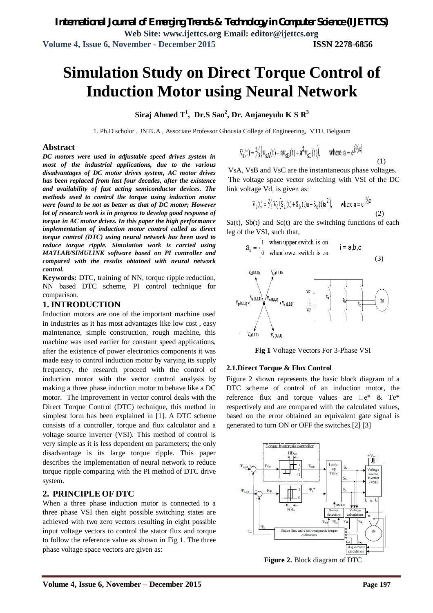# **Simulation Study on Direct Torque Control of Induction Motor using Neural Network**

**Siraj Ahmed T<sup>1</sup> , Dr.S Sao<sup>2</sup> , Dr. Anjaneyulu K S R<sup>3</sup>**

1. Ph.D scholor , JNTUA , Associate Professor Ghousia College of Engineering, VTU, Belgaum

#### **Abstract**

*DC motors were used in adjustable speed drives system in most of the industrial applications, due to the various disadvantages of DC motor drives system, AC motor drives has been replaced from last four decades, after the existence and availability of fast acting semiconductor devices. The methods used to control the torque using induction motor were found to be not as better as that of DC motor; However lot of research work is in progress to develop good response of torque in AC motor drives. In this paper the high performance implementation of induction motor control called as direct torque control (DTC) using neural network has been used to reduce torque ripple. Simulation work is carried using MATLAB/SIMULINK software based on PI controller and compared with the results obtained with neural network control.* 

**Keywords:** DTC, training of NN, torque ripple reduction, NN based DTC scheme, PI control technique for comparison.

#### **1. INTRODUCTION**

Induction motors are one of the important machine used in industries as it has most advantages like low cost , easy maintenance, simple construction, rough machine, this machine was used earlier for constant speed applications, after the existence of power electronics components it was made easy to control induction motor by varying its supply frequency, the research proceed with the control of induction motor with the vector control analysis by making a three phase induction motor to behave like a DC motor. The improvement in vector control deals with the Direct Torque Control (DTC) technique, this method in simplest form has been explained in [1]. A DTC scheme consists of a controller, torque and flux calculator and a voltage source inverter (VSI). This method of control is very simple as it is less dependent on parameters; the only disadvantage is its large torque ripple. This paper describes the implementation of neural network to reduce torque ripple comparing with the PI method of DTC drive system.

#### **2. PRINCIPLE OF DTC**

When a three phase induction motor is connected to a three phase VSI then eight possible switching states are achieved with two zero vectors resulting in eight possible input voltage vectors to control the stator flux and torque to follow the reference value as shown in Fig 1. The three phase voltage space vectors are given as:

$$
\overline{v}_s(t) = \frac{\gamma}{3} \Big( v_{sA}(t) + av_{sB}(t) + a^2 v_{sC}(t) \Big), \quad \text{where } a = e^{j2\gamma\pi}
$$

VsA, VsB and VsC are the instantaneous phase voltages. The voltage space vector switching with VSI of the DC link voltage Vd, is given as:

$$
\overline{v}_s(t) = \frac{2}{3} V_d \Big( S_a(t) + S_b(t) a + S_c(t) a^2 \Big), \quad \text{where } a = e^{\frac{i}{3} \pi}
$$
 (2)

 $Sa(t)$ ,  $Sb(t)$  and  $Sc(t)$  are the switching functions of each leg of the VSI, such that,

$$
S_i = \begin{cases} 1 & \text{when upper switch is on} \\ 0 & \text{when lower switch is on} \end{cases} \qquad i = a,b,c \tag{3}
$$



**Fig 1** Voltage Vectors For 3-Phase VSI

#### **2.1.Direct Torque & Flux Control**

Figure 2 shown represents the basic block diagram of a DTC scheme of control of an induction motor, the reference flux and torque values are  $\Box$  e\* & Te\* respectively and are compared with the calculated values, based on the error obtained an equivalent gate signal is generated to turn ON or OFF the switches.[2] [3]



**Figure 2.** Block diagram of DTC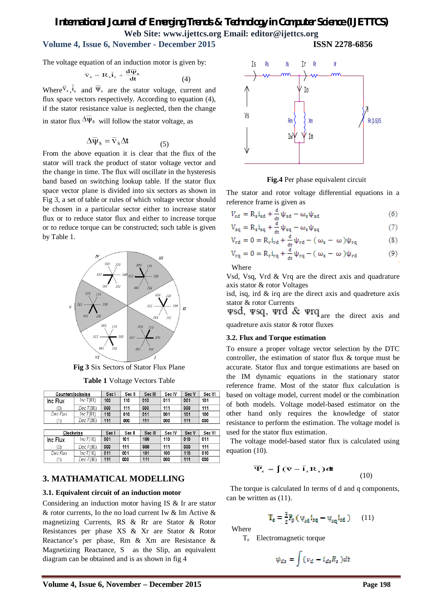# **Volume 4, Issue 6, November - December 2015 ISSN 2278-6856**

The voltage equation of an induction motor is given by:

$$
\overline{\mathbf{v}}_s = \mathbf{R}_s \overline{\mathbf{i}}_s + \frac{\mathbf{d}\mathbf{\Psi}_s}{\mathbf{d}\mathbf{t}} \tag{4}
$$

Where  $\overline{v}_*, \overline{i}_*$  and  $\overline{\Psi}_*$  are the stator voltage, current and flux space vectors respectively. According to equation (4), if the stator resistance value is neglected, then the change in stator flux  $\Delta \overline{\Psi}_s$  will follow the stator voltage, as

$$
\Delta \overline{\Psi}_{\rm s} = \overline{\mathbf{v}}_{\rm s} \Delta \mathbf{t} \tag{5}
$$

From the above equation it is clear that the flux of the stator will track the product of stator voltage vector and the change in time. The flux will oscillate in the hysteresis band based on switching lookup table. If the stator flux space vector plane is divided into six sectors as shown in Fig 3, a set of table or rules of which voltage vector should be chosen in a particular sector either to increase stator flux or to reduce stator flux and either to increase torque or to reduce torque can be constructed; such table is given by Table 1.



**Fig 3** Six Sectors of Stator Flux Plane

**Table 1** Voltage Vectors Table

| Counterclockwise |             | Sec I | Sec II | Sec III | Sec IV | Sec V | Sec VI |
|------------------|-------------|-------|--------|---------|--------|-------|--------|
| Inc Flux         | Inc $T(01)$ | 100   | 110    | 010     | 011    | 001   | 101    |
| (0)              | Dec T(00)   | 000   | 111    | 000     | 111    | 000   | 111    |
| Dec Flux         | Inc $T(01)$ | 110   | 010    | 011     | 001    | 101   | 100    |
| (1)              | Dec T(00)   | 111   | 000    | 111     | 000    | 111   | 000    |
|                  |             |       |        |         |        |       |        |
| Clockwise        |             | Sec I | Sec II | Sec III | Sec IV | Sec V | Sec VI |
| Inc Flux         | Inc T(10)   | 001   | 101    | 100     | 110    | 010   | 011    |
| (0)              | Dec T(00)   | 000   | 111    | 000     | 111    | 000   | 111    |
| Dec Flux         | inc T(10)   | 011   | 001    | 101     | 100    | 110   | 010    |
| (1)              | Dec T(00)   | 111   | 000    | 111     | 000    | 111   | 000    |

#### **3. MATHAMATICAL MODELLING**

#### **3.1. Equivalent circuit of an induction motor**

Considering an induction motor having IS & Ir are stator & rotor currents, Io the no load current Iw & Im Active & magnetizing Currents, RS & Rr are Stator & Rotor Resistances per phase XS & Xr are Stator & Rotor Reactance's per phase, Rm & Xm are Resistance & Magnetizing Reactance, S as the Slip, an equivalent diagram can be obtained and is as shown in fig 4



**Fig.4** Per phase equivalent circuit

The stator and rotor voltage differential equations in a reference frame is given as

$$
V_{sd} = R_s i_{sd} + \frac{d}{dt} \psi_{sd} - \omega_s \psi_{sd}
$$
 (6)

$$
V_{sq} = R_s i_{sq} + \frac{1}{dt} \psi_{sq} - \omega_s \psi_{sq} \tag{7}
$$

$$
V_{rd} = 0 = R_r i_{rd} + \frac{a}{dt} \psi_{rd} - (\omega_s - \omega) \psi_{rq}
$$
 (8)

$$
V_{rq} = 0 = R_r i_{rq} + \frac{a}{dt} \psi_{rq} - (\omega_s - \omega) \psi_{rd}
$$
 (9)

Where

Vsd, Vsq, Vrd & Vrq are the direct axis and quadrature axis stator & rotor Voltages

isd, isq, ird & irq are the direct axis and quadreture axis stator & rotor Currents

wsd, wsq, wrd & wrq are the direct axis and quadreture axis stator & rotor fluxes

#### **3.2. Flux and Torque estimation**

To ensure a proper voltage vector selection by the DTC controller, the estimation of stator flux & torque must be accurate. Stator flux and torque estimations are based on the IM dynamic equations in the stationary stator reference frame. Most of the stator flux calculation is based on voltage model, current model or the combination of both models. Voltage model-based estimator on the other hand only requires the knowledge of stator resistance to perform the estimation. The voltage model is used for the stator flux estimation.

 The voltage model-based stator flux is calculated using equation (10).

$$
\overline{\Psi}_s = \int (\overline{\mathbf{v}} - \overline{\mathbf{i}}_s \mathbf{R}_s) \, \mathrm{d}\mathbf{t}
$$
 (10)

 The torque is calculated In terms of d and q components, can be written as (11).

$$
\mathbf{T}_{\mathbf{e}} = \frac{a}{2} P_{\mathbf{p}} \left( \psi_{\mathbf{g} \mathbf{d}} \mathbf{1}_{\mathbf{g} \mathbf{q}} - \psi_{\mathbf{g} \mathbf{q}} \mathbf{1}_{\mathbf{g} \mathbf{d}} \right) \tag{11}
$$

Where

Te Electromagnetic torque

$$
\psi_{ds} = \int (\nu_d - i_{ds} R_s) dt
$$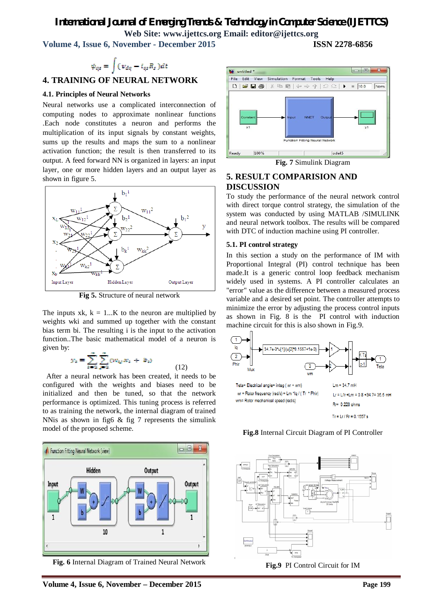**Volume 4, Issue 6, November - December 2015 ISSN 2278-6856**

$$
\psi_{qs} = \int (\nu_{dq} - i_{qs} R_s) dt
$$
  
**4. TRAINING OF NEURAL NETWORK**

#### **4.1. Principles of Neural Networks**

Neural networks use a complicated interconnection of computing nodes to approximate nonlinear functions .Each node constitutes a neuron and performs the multiplication of its input signals by constant weights, sums up the results and maps the sum to a nonlinear activation function; the result is then transferred to its output. A feed forward NN is organized in layers: an input layer, one or more hidden layers and an output layer as shown in figure 5.



**Fig 5.** Structure of neural network

The inputs xk,  $k = 1...K$  to the neuron are multiplied by weights wki and summed up together with the constant bias term bi. The resulting i is the input to the activation function..The basic mathematical model of a neuron is given by:

$$
y_i = \sum_{i=1}^{\infty} \sum_{j=1}^{\infty} (w_{ij} x_i + b_i)
$$
 (12)

 After a neural network has been created, it needs to be configured with the weights and biases need to be initialized and then be tuned, so that the network performance is optimized. This tuning process is referred to as training the network, the internal diagram of trained NNis as shown in fig6 & fig 7 represents the simulink model of the proposed scheme.



**Fig. 6** Internal Diagram of Trained Neural Network



**Fig. 7** Simulink Diagram

#### **5. RESULT COMPARISION AND DISCUSSION**

To study the performance of the neural network control with direct torque control strategy, the simulation of the system was conducted by using MATLAB /SIMULINK and neural network toolbox. The results will be compared with DTC of induction machine using PI controller.

#### **5.1. PI control strategy**

In this section a study on the performance of IM with Proportional Integral (PI) control technique has been made.It is a generic control loop feedback mechanism widely used in systems. A PI controller calculates an "error" value as the difference between a measured process variable and a desired set point. The controller attempts to minimize the error by adjusting the process control inputs as shown in Fig. 8 is the PI control with induction machine circuit for this is also shown in Fig.9.



**Fig.8** Internal Circuit Diagram of PI Controller



**Fig.9** PI Control Circuit for IM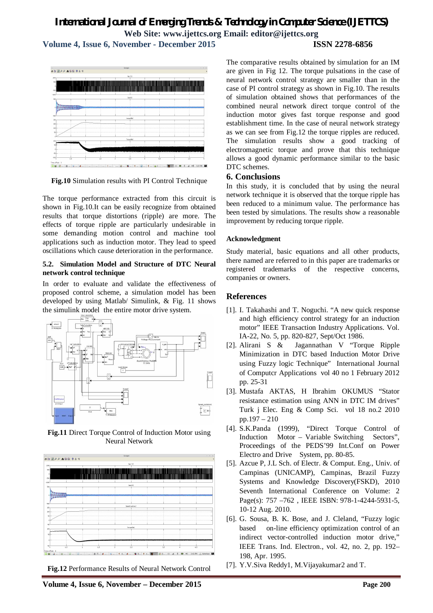**Volume 4, Issue 6, November - December 2015 ISSN 2278-6856**

# .<br>Sa <mark>daa assis</mark>as

**Fig.10** Simulation results with PI Control Technique

The torque performance extracted from this circuit is shown in Fig.10.It can be easily recognize from obtained results that torque distortions (ripple) are more. The effects of torque ripple are particularly undesirable in some demanding motion control and machine tool applications such as induction motor. They lead to speed oscillations which cause deterioration in the performance.

#### **5.2. Simulation Model and Structure of DTC Neural network control technique**

In order to evaluate and validate the effectiveness of proposed control scheme, a simulation model has been developed by using Matlab/ Simulink, & Fig. 11 shows the simulink model the entire motor drive system.



**Fig.11** Direct Torque Control of Induction Motor using Neural Network



**Fig.12** Performance Results of Neural Network Control

The comparative results obtained by simulation for an IM are given in Fig 12. The torque pulsations in the case of neural network control strategy are smaller than in the case of PI control strategy as shown in Fig.10. The results of simulation obtained shows that performances of the combined neural network direct torque control of the induction motor gives fast torque response and good establishment time. In the case of neural network strategy as we can see from Fig.12 the torque ripples are reduced. The simulation results show a good tracking of electromagnetic torque and prove that this technique allows a good dynamic performance similar to the basic DTC schemes.

#### **6. Conclusions**

In this study, it is concluded that by using the neural network technique it is observed that the torque ripple has been reduced to a minimum value. The performance has been tested by simulations. The results show a reasonable improvement by reducing torque ripple.

#### **Acknowledgment**

Study material, basic equations and all other products, there named are referred to in this paper are trademarks or registered trademarks of the respective concerns, companies or owners.

### **References**

- [1]. I. Takahashi and T. Noguchi. "A new quick response and high efficiency control strategy for an induction motor" IEEE Transaction Industry Applications. Vol. IA-22, No. 5, pp. 820-827, Sept/Oct 1986.
- [2]. Alirani S & Jagannathan V "Torque Ripple Minimization in DTC based Induction Motor Drive using Fuzzy logic Technique" International Journal of Computcr Applications vol 40 no 1 February 2012 pp. 25-31
- [3]. Mustafa AKTAS, H Ibrahim OKUMUS "Stator resistance estimation using ANN in DTC IM drives" Turk j Elec. Eng & Comp Sci. vol 18 no.2 2010 pp.197 – 210
- [4]. S.K.Panda (1999), "Direct Torque Control of Induction Motor – Variable Switching Sectors", Proceedings of the PEDS'99 Int.Conf on Power Electro and Drive System, pp. 80-85.
- [5]. Azcue P, J.L Sch. of Electr. & Comput. Eng., Univ. of Campinas (UNICAMP), Campinas, Brazil Fuzzy Systems and Knowledge Discovery(FSKD), 2010 Seventh International Conference on Volume: 2 Page(s): 757 -762, IEEE ISBN: 978-1-4244-5931-5, 10-12 Aug. 2010.
- [6]. G. Sousa, B. K. Bose, and J. Cleland, "Fuzzy logic based on-line efficiency optimization control of an indirect vector-controlled induction motor drive," IEEE Trans. Ind. Electron., vol. 42, no. 2, pp. 192– 198, Apr. 1995.
- [7]. Y.V.Siva Reddy1, M.Vijayakumar2 and T.